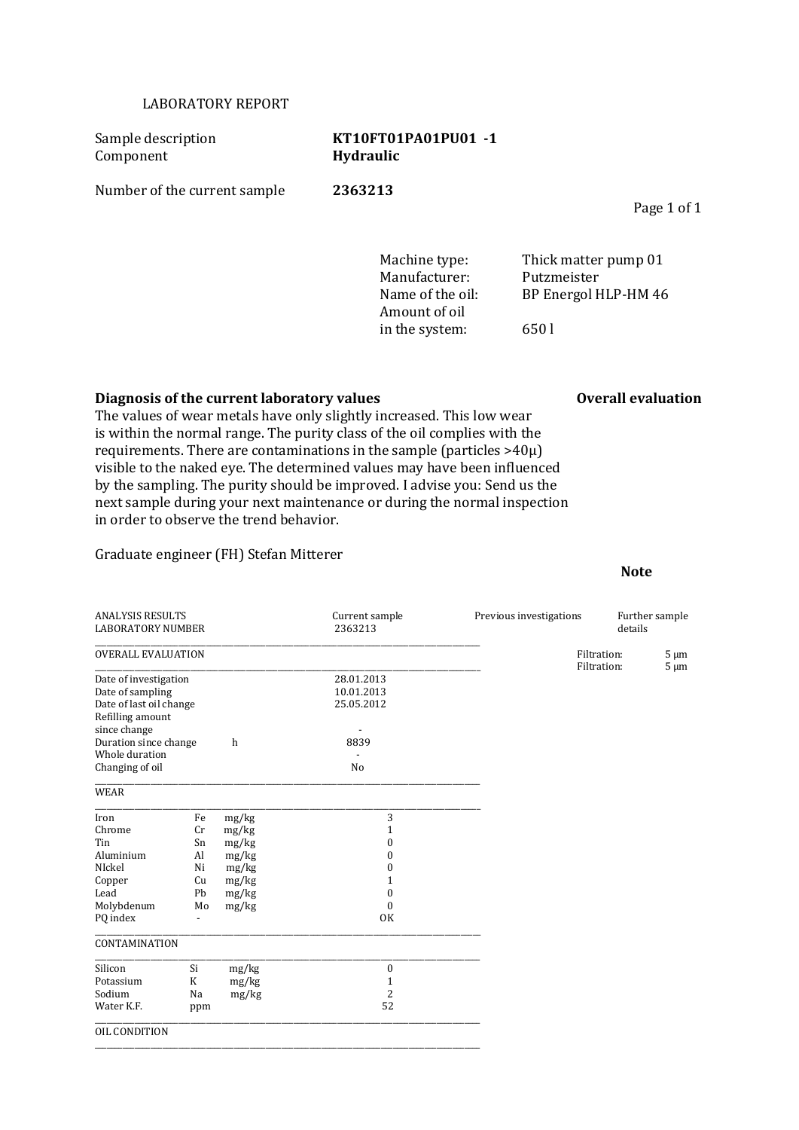## LABORATORY REPORT

Sample description **KT10FT01PA01PU01 -1** Component **Hydraulic** Number of the current sample **2363213**

> Manufacturer: Putzmeister Amount of oil in the system: 650 l

Machine type: Thick matter pump 01 Name of the oil: BP Energol HLP-HM 46

### **Diagnosis of the current laboratory values Overall evaluation Overall evaluation**

The values of wear metals have only slightly increased. This low wear is within the normal range. The purity class of the oil complies with the requirements. There are contaminations in the sample (particles >40µ) visible to the naked eye. The determined values may have been influenced by the sampling. The purity should be improved. I advise you: Send us the next sample during your next maintenance or during the normal inspection in order to observe the trend behavior.

## Graduate engineer (FH) Stefan Mitterer

#### ANALYSIS RESULTS Current sample Previous investigations Further sample LABORATORY NUMBER \_\_\_\_\_\_\_\_\_\_\_\_\_\_\_\_\_\_\_\_\_\_\_\_\_\_\_\_\_\_\_\_\_\_\_\_\_\_\_\_\_\_\_\_\_\_\_\_\_\_\_\_\_\_\_\_\_\_\_\_\_\_\_\_\_\_\_\_\_\_\_\_\_\_\_\_\_\_\_\_\_\_\_\_\_\_\_\_\_\_\_\_\_\_\_\_\_ OVERALL EVALUATION Filtration: 5 µm \_\_\_\_\_\_\_\_\_\_\_\_\_\_\_\_\_\_\_\_\_\_\_\_\_\_\_\_\_\_\_\_\_\_\_\_\_\_\_\_\_\_\_\_\_\_\_\_\_\_\_\_\_\_\_\_\_\_\_\_\_\_\_\_\_\_\_\_\_\_\_\_\_\_\_\_\_\_\_\_\_\_\_\_\_\_\_\_\_\_\_\_\_\_\_\_\_ Filtration: 5 µm Date of investigation 28.01.2013 Date of sampling 10.01.2013<br>Date of last oil change 25.05.2012 Date of last oil change Refilling amount since change the state of the change of the state of the state of the state of the state of the state of the state of the state of the state of the state of the state of the state of the state of the state of the state of Duration since change Whole duration Changing of oil No \_\_\_\_\_\_\_\_\_\_\_\_\_\_\_\_\_\_\_\_\_\_\_\_\_\_\_\_\_\_\_\_\_\_\_\_\_\_\_\_\_\_\_\_\_\_\_\_\_\_\_\_\_\_\_\_\_\_\_\_\_\_\_\_\_\_\_\_\_\_\_\_\_\_\_\_\_\_\_\_\_\_\_\_\_\_\_\_\_\_\_\_\_\_\_\_\_ WEAR \_\_\_\_\_\_\_\_\_\_\_\_\_\_\_\_\_\_\_\_\_\_\_\_\_\_\_\_\_\_\_\_\_\_\_\_\_\_\_\_\_\_\_\_\_\_\_\_\_\_\_\_\_\_\_\_\_\_\_\_\_\_\_\_\_\_\_\_\_\_\_\_\_\_\_\_\_\_\_\_\_\_\_\_\_\_\_\_\_\_\_\_\_\_\_\_\_ Iron Fe mg/kg 3<br>Chrome Cr mg/kg 1 Cr mg/kg 1 Tin Sn mg/kg 0 Aluminium Al mg/kg 0<br>Nickel Ni mg/kg 0 NIckel Ni mg/kg Copper Cu mg/kg 1<br>
Lead Pb mg/kg 0 Lead Pb mg/kg Molybdenum Mo mg/kg 0 PQ index - OK \_\_\_\_\_\_\_\_\_\_\_\_\_\_\_\_\_\_\_\_\_\_\_\_\_\_\_\_\_\_\_\_\_\_\_\_\_\_\_\_\_\_\_\_\_\_\_\_\_\_\_\_\_\_\_\_\_\_\_\_\_\_\_\_\_\_\_\_\_\_\_\_\_\_\_\_\_\_\_\_\_\_\_\_\_\_\_\_\_\_\_\_\_\_\_\_\_ **CONTAMINATION** \_\_\_\_\_\_\_\_\_\_\_\_\_\_\_\_\_\_\_\_\_\_\_\_\_\_\_\_\_\_\_\_\_\_\_\_\_\_\_\_\_\_\_\_\_\_\_\_\_\_\_\_\_\_\_\_\_\_\_\_\_\_\_\_\_\_\_\_\_\_\_\_\_\_\_\_\_\_\_\_\_\_\_\_\_\_\_\_\_\_\_\_\_\_\_\_\_ Silicon Si mg/kg 0 Potassium K mg/kg 1 Sodium Na mg/kg 2<br>Water K.F. ppm 52 Water K.F. ppm \_\_\_\_\_\_\_\_\_\_\_\_\_\_\_\_\_\_\_\_\_\_\_\_\_\_\_\_\_\_\_\_\_\_\_\_\_\_\_\_\_\_\_\_\_\_\_\_\_\_\_\_\_\_\_\_\_\_\_\_\_\_\_\_\_\_\_\_\_\_\_\_\_\_\_\_\_\_\_\_\_\_\_\_\_\_\_\_\_\_\_\_\_\_\_\_\_ OIL CONDITION \_\_\_\_\_\_\_\_\_\_\_\_\_\_\_\_\_\_\_\_\_\_\_\_\_\_\_\_\_\_\_\_\_\_\_\_\_\_\_\_\_\_\_\_\_\_\_\_\_\_\_\_\_\_\_\_\_\_\_\_\_\_\_\_\_\_\_\_\_\_\_\_\_\_\_\_\_\_\_\_\_\_\_\_\_\_\_\_\_\_\_\_\_\_\_\_\_

#### **Note**

## Page 1 of 1